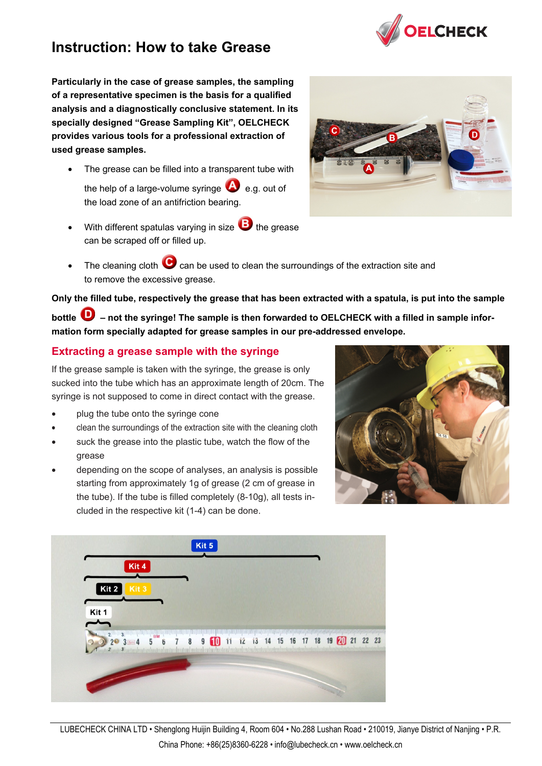

# **Instruction: How to take Grease**

**Particularly in the case of grease samples, the sampling of a representative specimen is the basis for a qualified analysis and a diagnostically conclusive statement. In its specially designed "Grease Sampling Kit", OELCHECK provides various tools for a professional extraction of used grease samples.** 

- The grease can be filled into a transparent tube with the help of a large-volume syringe  $\bigcirc$  e.g. out of the load zone of an antifriction bearing.
- With different spatulas varying in size  $\bullet$  the grease can be scraped off or filled up.



The cleaning cloth  $\bullet$  can be used to clean the surroundings of the extraction site and to remove the excessive grease.

**Only the filled tube, respectively the grease that has been extracted with a spatula, is put into the sample** 

bottle **U** – not the syringe! The sample is then forwarded to OELCHECK with a filled in sample infor**mation form specially adapted for grease samples in our pre-addressed envelope.**

#### **Extracting a grease sample with the syringe**

If the grease sample is taken with the syringe, the grease is only sucked into the tube which has an approximate length of 20cm. The syringe is not supposed to come in direct contact with the grease.

- plug the tube onto the syringe cone
- clean the surroundings of the extraction site with the cleaning cloth
- suck the grease into the plastic tube, watch the flow of the grease
- depending on the scope of analyses, an analysis is possible starting from approximately 1g of grease (2 cm of grease in the tube). If the tube is filled completely (8-10g), all tests included in the respective kit (1-4) can be done.



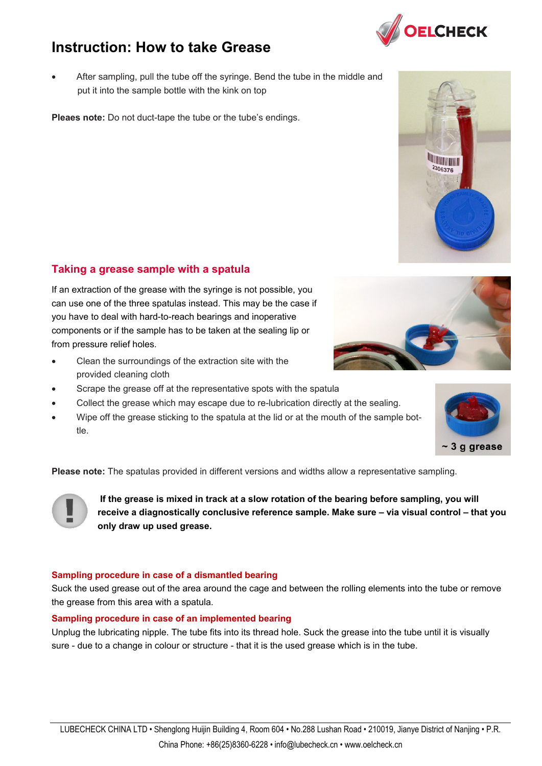### LUBECHECK CHINA LTD • Shenglong Huijin Building 4, Room 604 • No.288 Lushan Road • 210019, Jianye District of Nanjing • P.R. China Phone: +86(25)8360-6228 • info@lubecheck.cn • www.oelcheck.cn

## **Instruction: How to take Grease**

• After sampling, pull the tube off the syringe. Bend the tube in the middle and put it into the sample bottle with the kink on top

**Pleaes note:** Do not duct-tape the tube or the tube's endings.

### **Taking a grease sample with a spatula**

If an extraction of the grease with the syringe is not possible, you can use one of the three spatulas instead. This may be the case if you have to deal with hard-to-reach bearings and inoperative components or if the sample has to be taken at the sealing lip or from pressure relief holes.

- Clean the surroundings of the extraction site with the provided cleaning cloth
- Scrape the grease off at the representative spots with the spatula
- Collect the grease which may escape due to re-lubrication directly at the sealing.
- Wipe off the grease sticking to the spatula at the lid or at the mouth of the sample bottle.

**Please note:** The spatulas provided in different versions and widths allow a representative sampling.

**If the grease is mixed in track at a slow rotation of the bearing before sampling, you will receive a diagnostically conclusive reference sample. Make sure – via visual control – that you only draw up used grease.** 

#### **Sampling procedure in case of a dismantled bearing**

Suck the used grease out of the area around the cage and between the rolling elements into the tube or remove the grease from this area with a spatula.

#### **Sampling procedure in case of an implemented bearing**

Unplug the lubricating nipple. The tube fits into its thread hole. Suck the grease into the tube until it is visually sure - due to a change in colour or structure - that it is the used grease which is in the tube.